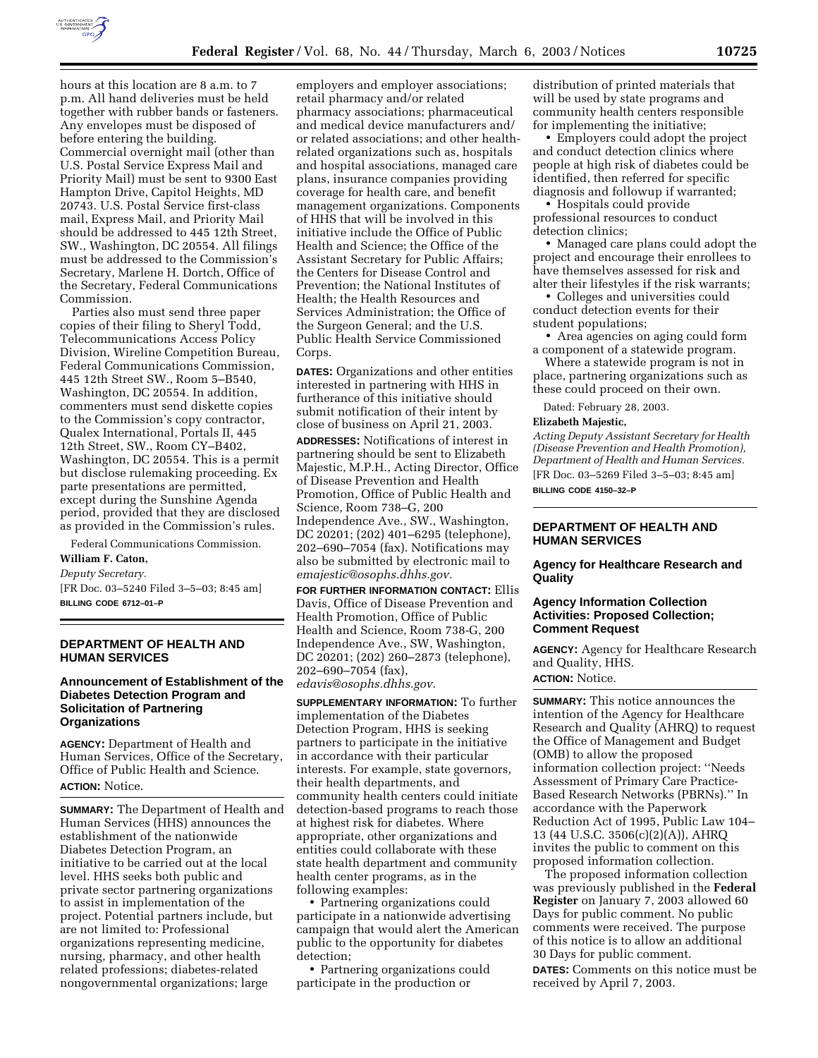

hours at this location are 8 a.m. to 7 p.m. All hand deliveries must be held together with rubber bands or fasteners. Any envelopes must be disposed of before entering the building. Commercial overnight mail (other than U.S. Postal Service Express Mail and Priority Mail) must be sent to 9300 East Hampton Drive, Capitol Heights, MD 20743. U.S. Postal Service first-class mail, Express Mail, and Priority Mail should be addressed to 445 12th Street, SW., Washington, DC 20554. All filings must be addressed to the Commission's Secretary, Marlene H. Dortch, Office of the Secretary, Federal Communications Commission.

Parties also must send three paper copies of their filing to Sheryl Todd, Telecommunications Access Policy Division, Wireline Competition Bureau, Federal Communications Commission, 445 12th Street SW., Room 5–B540, Washington, DC 20554. In addition, commenters must send diskette copies to the Commission's copy contractor, Qualex International, Portals II, 445 12th Street, SW., Room CY–B402, Washington, DC 20554. This is a permit but disclose rulemaking proceeding. Ex parte presentations are permitted, except during the Sunshine Agenda period, provided that they are disclosed as provided in the Commission's rules.

Federal Communications Commission.

# **William F. Caton,**

*Deputy Secretary.*

[FR Doc. 03–5240 Filed 3–5–03; 8:45 am] **BILLING CODE 6712–01–P**

```
DEPARTMENT OF HEALTH AND 
HUMAN SERVICES
```
# **Announcement of Establishment of the Diabetes Detection Program and Solicitation of Partnering Organizations**

**AGENCY:** Department of Health and Human Services, Office of the Secretary, Office of Public Health and Science. **ACTION:** Notice.

**SUMMARY:** The Department of Health and Human Services (HHS) announces the establishment of the nationwide Diabetes Detection Program, an initiative to be carried out at the local level. HHS seeks both public and private sector partnering organizations to assist in implementation of the project. Potential partners include, but are not limited to: Professional organizations representing medicine, nursing, pharmacy, and other health related professions; diabetes-related nongovernmental organizations; large

employers and employer associations; retail pharmacy and/or related pharmacy associations; pharmaceutical and medical device manufacturers and/ or related associations; and other healthrelated organizations such as, hospitals and hospital associations, managed care plans, insurance companies providing coverage for health care, and benefit management organizations. Components of HHS that will be involved in this initiative include the Office of Public Health and Science; the Office of the Assistant Secretary for Public Affairs; the Centers for Disease Control and Prevention; the National Institutes of Health; the Health Resources and Services Administration; the Office of the Surgeon General; and the U.S. Public Health Service Commissioned Corps.

**DATES:** Organizations and other entities interested in partnering with HHS in furtherance of this initiative should submit notification of their intent by close of business on April 21, 2003.

**ADDRESSES:** Notifications of interest in partnering should be sent to Elizabeth Majestic, M.P.H., Acting Director, Office of Disease Prevention and Health Promotion, Office of Public Health and Science, Room 738–G, 200 Independence Ave., SW., Washington, DC 20201; (202) 401–6295 (telephone), 202–690–7054 (fax). Notifications may also be submitted by electronic mail to *emajestic@osophs.dhhs.gov.*

**FOR FURTHER INFORMATION CONTACT:** Ellis Davis, Office of Disease Prevention and Health Promotion, Office of Public Health and Science, Room 738-G, 200 Independence Ave., SW, Washington, DC 20201; (202) 260–2873 (telephone), 202–690–7054 (fax), *edavis@osophs.dhhs.gov.*

**SUPPLEMENTARY INFORMATION:** To further implementation of the Diabetes Detection Program, HHS is seeking partners to participate in the initiative in accordance with their particular interests. For example, state governors, their health departments, and community health centers could initiate detection-based programs to reach those at highest risk for diabetes. Where appropriate, other organizations and entities could collaborate with these state health department and community health center programs, as in the following examples:

• Partnering organizations could participate in a nationwide advertising campaign that would alert the American public to the opportunity for diabetes detection;

• Partnering organizations could participate in the production or

distribution of printed materials that will be used by state programs and community health centers responsible for implementing the initiative;

• Employers could adopt the project and conduct detection clinics where people at high risk of diabetes could be identified, then referred for specific diagnosis and followup if warranted;

• Hospitals could provide professional resources to conduct detection clinics;

• Managed care plans could adopt the project and encourage their enrollees to have themselves assessed for risk and alter their lifestyles if the risk warrants;

• Colleges and universities could conduct detection events for their student populations;

• Area agencies on aging could form a component of a statewide program.

Where a statewide program is not in place, partnering organizations such as these could proceed on their own.

Dated: February 28, 2003.

#### **Elizabeth Majestic,**

*Acting Deputy Assistant Secretary for Health (Disease Prevention and Health Promotion), Department of Health and Human Services.* [FR Doc. 03–5269 Filed 3–5–03; 8:45 am] **BILLING CODE 4150–32–P**

# **DEPARTMENT OF HEALTH AND HUMAN SERVICES**

### **Agency for Healthcare Research and Quality**

# **Agency Information Collection Activities: Proposed Collection; Comment Request**

**AGENCY:** Agency for Healthcare Research and Quality, HHS. **ACTION:** Notice.

**SUMMARY:** This notice announces the intention of the Agency for Healthcare Research and Quality (AHRQ) to request the Office of Management and Budget (OMB) to allow the proposed information collection project: ''Needs Assessment of Primary Care Practice-Based Research Networks (PBRNs).'' In accordance with the Paperwork Reduction Act of 1995, Public Law 104– 13 (44 U.S.C. 3506(c)(2)(A)), AHRQ invites the public to comment on this proposed information collection.

The proposed information collection was previously published in the **Federal Register** on January 7, 2003 allowed 60 Days for public comment. No public comments were received. The purpose of this notice is to allow an additional 30 Days for public comment. **DATES:** Comments on this notice must be received by April 7, 2003.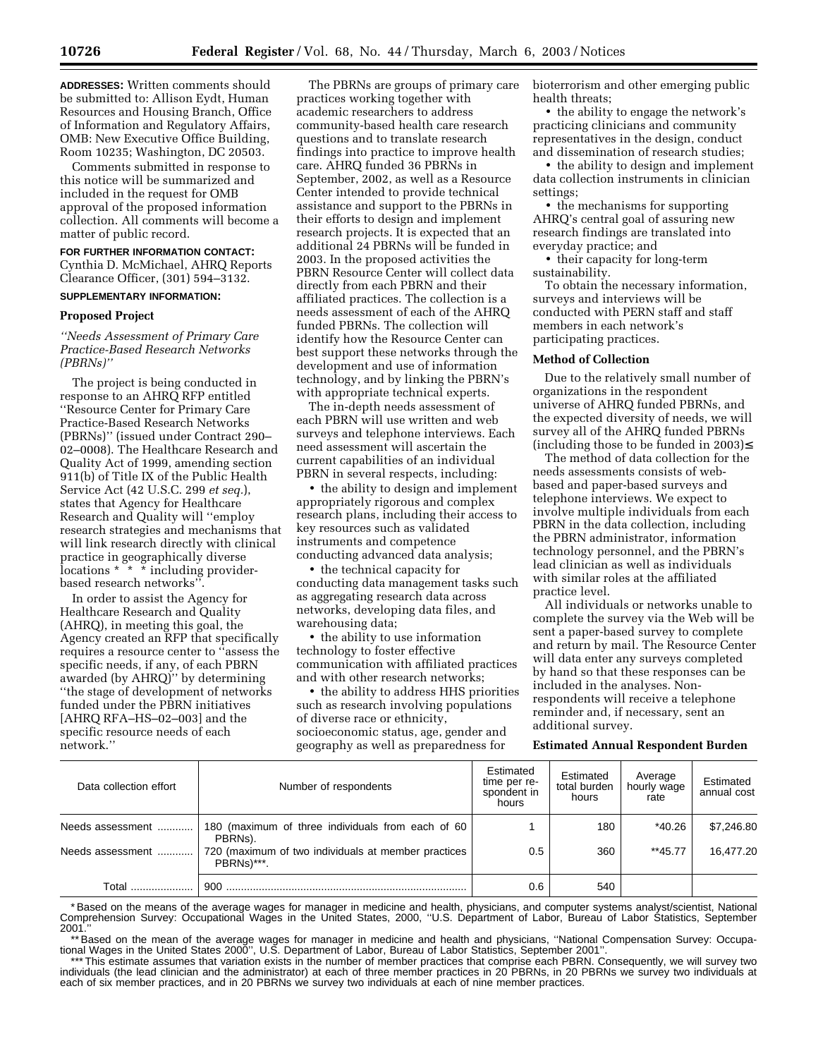**ADDRESSES:** Written comments should be submitted to: Allison Eydt, Human Resources and Housing Branch, Office of Information and Regulatory Affairs, OMB: New Executive Office Building, Room 10235; Washington, DC 20503.

Comments submitted in response to this notice will be summarized and included in the request for OMB approval of the proposed information collection. All comments will become a matter of public record.

# **FOR FURTHER INFORMATION CONTACT:**

Cynthia D. McMichael, AHRQ Reports Clearance Officer, (301) 594–3132.

# **SUPPLEMENTARY INFORMATION:**

### **Proposed Project**

*''Needs Assessment of Primary Care Practice-Based Research Networks (PBRNs)''*

The project is being conducted in response to an AHRQ RFP entitled ''Resource Center for Primary Care Practice-Based Research Networks (PBRNs)'' (issued under Contract 290– 02–0008). The Healthcare Research and Quality Act of 1999, amending section 911(b) of Title IX of the Public Health Service Act (42 U.S.C. 299 *et seq.*), states that Agency for Healthcare Research and Quality will ''employ research strategies and mechanisms that will link research directly with clinical practice in geographically diverse locations \* \* \* including providerbased research networks''.

In order to assist the Agency for Healthcare Research and Quality (AHRQ), in meeting this goal, the Agency created an RFP that specifically requires a resource center to ''assess the specific needs, if any, of each PBRN awarded (by AHRQ)'' by determining ''the stage of development of networks funded under the PBRN initiatives [AHRQ RFA–HS–02–003] and the specific resource needs of each network.''

The PBRNs are groups of primary care practices working together with academic researchers to address community-based health care research questions and to translate research findings into practice to improve health care. AHRQ funded 36 PBRNs in September, 2002, as well as a Resource Center intended to provide technical assistance and support to the PBRNs in their efforts to design and implement research projects. It is expected that an additional 24 PBRNs will be funded in 2003. In the proposed activities the PBRN Resource Center will collect data directly from each PBRN and their affiliated practices. The collection is a needs assessment of each of the AHRQ funded PBRNs. The collection will identify how the Resource Center can best support these networks through the development and use of information technology, and by linking the PBRN's with appropriate technical experts.

The in-depth needs assessment of each PBRN will use written and web surveys and telephone interviews. Each need assessment will ascertain the current capabilities of an individual PBRN in several respects, including:

• the ability to design and implement appropriately rigorous and complex research plans, including their access to key resources such as validated instruments and competence conducting advanced data analysis;

• the technical capacity for conducting data management tasks such as aggregating research data across networks, developing data files, and warehousing data;

• the ability to use information technology to foster effective communication with affiliated practices and with other research networks;

• the ability to address HHS priorities such as research involving populations of diverse race or ethnicity, socioeconomic status, age, gender and geography as well as preparedness for

bioterrorism and other emerging public health threats;

• the ability to engage the network's practicing clinicians and community representatives in the design, conduct and dissemination of research studies;

• the ability to design and implement data collection instruments in clinician settings;

• the mechanisms for supporting AHRQ's central goal of assuring new research findings are translated into everyday practice; and

• their capacity for long-term sustainability.

To obtain the necessary information, surveys and interviews will be conducted with PERN staff and staff members in each network's participating practices.

## **Method of Collection**

Due to the relatively small number of organizations in the respondent universe of AHRQ funded PBRNs, and the expected diversity of needs, we will survey all of the AHRQ funded PBRNs (including those to be funded in 2003)≤

The method of data collection for the needs assessments consists of webbased and paper-based surveys and telephone interviews. We expect to involve multiple individuals from each PBRN in the data collection, including the PBRN administrator, information technology personnel, and the PBRN's lead clinician as well as individuals with similar roles at the affiliated practice level.

All individuals or networks unable to complete the survey via the Web will be sent a paper-based survey to complete and return by mail. The Resource Center will data enter any surveys completed by hand so that these responses can be included in the analyses. Nonrespondents will receive a telephone reminder and, if necessary, sent an additional survey.

#### **Estimated Annual Respondent Burden**

| Data collection effort | Number of respondents                                             | Estimated<br>time per re-<br>spondent in<br>hours | Estimated<br>total burden<br>hours | Average<br>hourly wage<br>rate | Estimated<br>annual cost |
|------------------------|-------------------------------------------------------------------|---------------------------------------------------|------------------------------------|--------------------------------|--------------------------|
| Needs assessment       | 180 (maximum of three individuals from each of 60<br>PBRNs).      |                                                   | 180                                | *40.26                         | \$7,246.80               |
| Needs assessment       | 720 (maximum of two individuals at member practices<br>PBRNs)***. | 0.5                                               | 360                                | $**45.77$                      | 16.477.20                |
| Total                  | 900                                                               | 0.6                                               | 540                                |                                |                          |

\* Based on the means of the average wages for manager in medicine and health, physicians, and computer systems analyst/scientist, National Comprehension Survey: Occupational Wages in the United States, 2000, ''U.S. Department of Labor, Bureau of Labor Statistics, September 2001.''

\*\* Based on the mean of the average wages for manager in medicine and health and physicians, ''National Compensation Survey: Occupational Wages in the United States 2000'', U.S. Department of Labor, Bureau of Labor Statistics, September 2001''.

\*\*\* This estimate assumes that variation exists in the number of member practices that comprise each PBRN. Consequently, we will survey two individuals (the lead clinician and the administrator) at each of three member practices in 20 PBRNs, in 20 PBRNs we survey two individuals at each of six member practices, and in 20 PBRNs we survey two individuals at each of nine member practices.